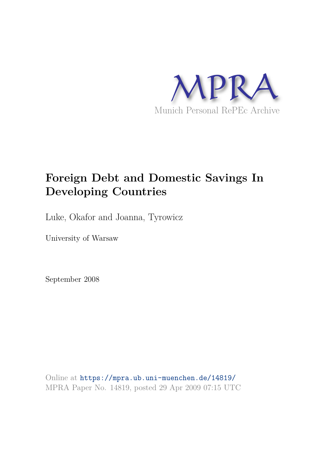

# **Foreign Debt and Domestic Savings In Developing Countries**

Luke, Okafor and Joanna, Tyrowicz

University of Warsaw

September 2008

Online at https://mpra.ub.uni-muenchen.de/14819/ MPRA Paper No. 14819, posted 29 Apr 2009 07:15 UTC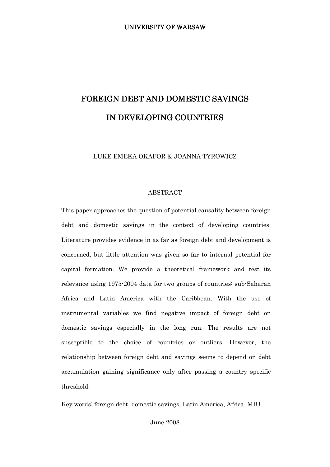# FOREIGN DEBT AND DOMESTIC SAVINGS IN DEVELOPING COUNTRIES

LUKE EMEKA OKAFOR & JOANNA TYROWICZ

# **ABSTRACT**

This paper approaches the question of potential causality between foreign debt and domestic savings in the context of developing countries. Literature provides evidence in as far as foreign debt and development is concerned, but little attention was given so far to internal potential for capital formation. We provide a theoretical framework and test its relevance using 1975-2004 data for two groups of countries: sub-Saharan Africa and Latin America with the Caribbean. With the use of instrumental variables we find negative impact of foreign debt on domestic savings especially in the long run. The results are not susceptible to the choice of countries or outliers. However, the relationship between foreign debt and savings seems to depend on debt accumulation gaining significance only after passing a country specific threshold.

Key words: foreign debt, domestic savings, Latin America, Africa, MIU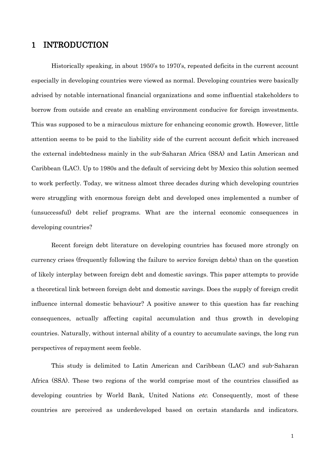## **INTRODUCTION**  $\mathbf{1}$

Historically speaking, in about 1950's to 1970's, repeated deficits in the current account especially in developing countries were viewed as normal. Developing countries were basically advised by notable international financial organizations and some influential stakeholders to borrow from outside and create an enabling environment conducive for foreign investments. This was supposed to be a miraculous mixture for enhancing economic growth. However, little attention seems to be paid to the liability side of the current account deficit which increased the external indebtedness mainly in the sub-Saharan Africa (SSA) and Latin American and Caribbean (LAC). Up to 1980s and the default of servicing debt by Mexico this solution seemed to work perfectly. Today, we witness almost three decades during which developing countries were struggling with enormous foreign debt and developed ones implemented a number of (unsuccessful) debt relief programs. What are the internal economic consequences in developing countries?

Recent foreign debt literature on developing countries has focused more strongly on currency crises (frequently following the failure to service foreign debts) than on the question of likely interplay between foreign debt and domestic savings. This paper attempts to provide a theoretical link between foreign debt and domestic savings. Does the supply of foreign credit influence internal domestic behaviour? A positive answer to this question has far reaching consequences, actually affecting capital accumulation and thus growth in developing countries. Naturally, without internal ability of a country to accumulate savings, the long run perspectives of repayment seem feeble.

This study is delimited to Latin American and Caribbean (LAC) and sub-Saharan Africa (SSA). These two regions of the world comprise most of the countries classified as developing countries by World Bank, United Nations *etc.* Consequently, most of these countries are perceived as underdeveloped based on certain standards and indicators.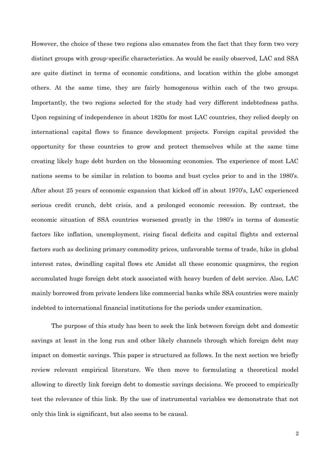However, the choice of these two regions also emanates from the fact that they form two very distinct groups with group-specific characteristics. As would be easily observed, LAC and SSA are quite distinct in terms of economic conditions, and location within the globe amongst others. At the same time, they are fairly homogenous within each of the two groups. Importantly, the two regions selected for the study had very different indebtedness paths. Upon regaining of independence in about 1820s for most LAC countries, they relied deeply on international capital flows to finance development projects. Foreign capital provided the opportunity for these countries to grow and protect themselves while at the same time creating likely huge debt burden on the blossoming economies. The experience of most LAC nations seems to be similar in relation to booms and bust cycles prior to and in the 1980's. After about 25 years of economic expansion that kicked off in about 1970's, LAC experienced serious credit crunch, debt crisis, and a prolonged economic recession. By contrast, the economic situation of SSA countries worsened greatly in the 1980's in terms of domestic factors like inflation, unemployment, rising fiscal deficits and capital flights and external factors such as declining primary commodity prices, unfavorable terms of trade, hike in global interest rates, dwindling capital flows etc Amidst all these economic quagmires, the region accumulated huge foreign debt stock associated with heavy burden of debt service. Also, LAC mainly borrowed from private lenders like commercial banks while SSA countries were mainly indebted to international financial institutions for the periods under examination.

The purpose of this study has been to seek the link between foreign debt and domestic savings at least in the long run and other likely channels through which foreign debt may impact on domestic savings. This paper is structured as follows. In the next section we briefly review relevant empirical literature. We then move to formulating a theoretical model allowing to directly link foreign debt to domestic savings decisions. We proceed to empirically test the relevance of this link. By the use of instrumental variables we demonstrate that not only this link is significant, but also seems to be causal.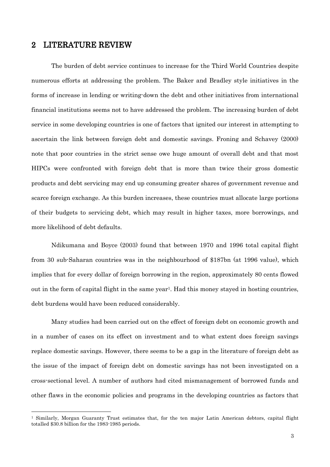### **LITERATURE REVIEW**  $\mathbf{2}$

The burden of debt service continues to increase for the Third World Countries despite numerous efforts at addressing the problem. The Baker and Bradley style initiatives in the forms of increase in lending or writing down the debt and other initiatives from international financial institutions seems not to have addressed the problem. The increasing burden of debt service in some developing countries is one of factors that ignited our interest in attempting to ascertain the link between foreign debt and domestic savings. Froning and Schavey (2000) note that poor countries in the strict sense owe huge amount of overall debt and that most HIPCs were confronted with foreign debt that is more than twice their gross domestic products and debt servicing may end up consuming greater shares of government revenue and scarce foreign exchange. As this burden increases, these countries must allocate large portions of their budgets to servicing debt, which may result in higher taxes, more borrowings, and more likelihood of debt defaults.

Ndikumana and Boyce (2003) found that between 1970 and 1996 total capital flight from 30 sub-Saharan countries was in the neighbourhood of \$187bn (at 1996 value), which implies that for every dollar of foreign borrowing in the region, approximately 80 cents flowed out in the form of capital flight in the same year<sup>1</sup>. Had this money stayed in hosting countries, debt burdens would have been reduced considerably.

Many studies had been carried out on the effect of foreign debt on economic growth and in a number of cases on its effect on investment and to what extent does foreign savings replace domestic savings. However, there seems to be a gap in the literature of foreign debt as the issue of the impact of foreign debt on domestic savings has not been investigated on a cross-sectional level. A number of authors had cited mismanagement of borrowed funds and other flaws in the economic policies and programs in the developing countries as factors that

<sup>&</sup>lt;sup>1</sup> Similarly, Morgan Guaranty Trust estimates that, for the ten major Latin American debtors, capital flight totalled \$30.8 billion for the 1983-1985 periods.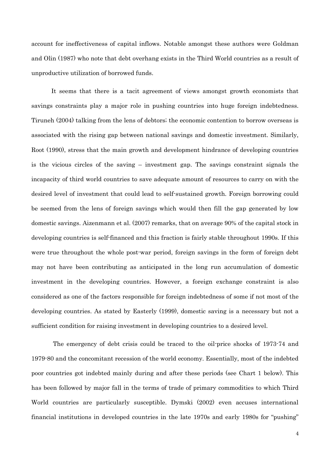account for ineffectiveness of capital inflows. Notable amongst these authors were Goldman and Olin (1987) who note that debt overhang exists in the Third World countries as a result of unproductive utilization of borrowed funds.

It seems that there is a tacit agreement of views amongst growth economists that savings constraints play a major role in pushing countries into huge foreign indebtedness. Tiruneh (2004) talking from the lens of debtors; the economic contention to borrow overseas is associated with the rising gap between national savings and domestic investment. Similarly, Root (1990), stress that the main growth and development hindrance of developing countries is the vicious circles of the saving  $-$  investment gap. The savings constraint signals the incapacity of third world countries to save adequate amount of resources to carry on with the desired level of investment that could lead to self-sustained growth. Foreign borrowing could be seemed from the lens of foreign savings which would then fill the gap generated by low domestic savings. Aizenmann et al. (2007) remarks, that on average 90% of the capital stock in developing countries is self-financed and this fraction is fairly stable throughout 1990s. If this were true throughout the whole post-war period, foreign savings in the form of foreign debt may not have been contributing as anticipated in the long run accumulation of domestic investment in the developing countries. However, a foreign exchange constraint is also considered as one of the factors responsible for foreign indebtedness of some if not most of the developing countries. As stated by Easterly (1999), domestic saving is a necessary but not a sufficient condition for raising investment in developing countries to a desired level.

The emergency of debt crisis could be traced to the oil-price shocks of 1973-74 and 1979-80 and the concomitant recession of the world economy. Essentially, most of the indebted poor countries got indebted mainly during and after these periods (see Chart 1 below). This has been followed by major fall in the terms of trade of primary commodities to which Third World countries are particularly susceptible. Dymski (2002) even accuses international financial institutions in developed countries in the late 1970s and early 1980s for "pushing"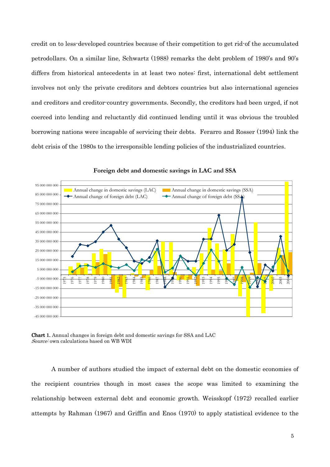credit on to less-developed countries because of their competition to get rid-of the accumulated petrodollars. On a similar line, Schwartz (1988) remarks the debt problem of 1980's and 90's differs from historical antecedents in at least two notes: first, international debt settlement involves not only the private creditors and debtors countries but also international agencies and creditors and creditor-country governments. Secondly, the creditors had been urged, if not coerced into lending and reluctantly did continued lending until it was obvious the troubled borrowing nations were incapable of servicing their debts. Ferarro and Rosser (1994) link the debt crisis of the 1980s to the irresponsible lending policies of the industrialized countries.



Foreign debt and domestic savings in LAC and SSA

**Chart 1.** Annual changes in foreign debt and domestic savings for SSA and LAC Source: own calculations based on WB WDI

A number of authors studied the impact of external debt on the domestic economies of the recipient countries though in most cases the scope was limited to examining the relationship between external debt and economic growth. Weisskopf (1972) recalled earlier attempts by Rahman (1967) and Griffin and Enos (1970) to apply statistical evidence to the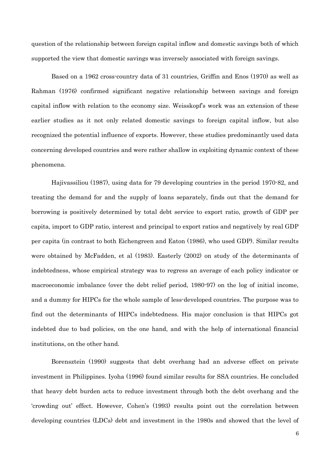question of the relationship between foreign capital inflow and domestic savings both of which supported the view that domestic savings was inversely associated with foreign savings.

Based on a 1962 cross-country data of 31 countries, Griffin and Enos (1970) as well as Rahman (1976) confirmed significant negative relationship between savings and foreign capital inflow with relation to the economy size. Weisskopf's work was an extension of these earlier studies as it not only related domestic savings to foreign capital inflow, but also recognized the potential influence of exports. However, these studies predominantly used data concerning developed countries and were rather shallow in exploiting dynamic context of these phenomena.

Hajivassiliou (1987), using data for 79 developing countries in the period 1970-82, and treating the demand for and the supply of loans separately, finds out that the demand for borrowing is positively determined by total debt service to export ratio, growth of GDP per capita, import to GDP ratio, interest and principal to export ratios and negatively by real GDP per capita (in contrast to both Eichengreen and Eaton (1986), who used GDP). Similar results were obtained by McFadden, et al (1983). Easterly (2002) on study of the determinants of indebtedness, whose empirical strategy was to regress an average of each policy indicator or macroeconomic imbalance (over the debt relief period, 1980-97) on the log of initial income, and a dummy for HIPCs for the whole sample of less-developed countries. The purpose was to find out the determinants of HIPCs indebtedness. His major conclusion is that HIPCs got indebted due to bad policies, on the one hand, and with the help of international financial institutions, on the other hand.

Borensztein (1990) suggests that debt overhang had an adverse effect on private investment in Philippines. Iyoha (1996) found similar results for SSA countries. He concluded that heavy debt burden acts to reduce investment through both the debt overhang and the 'crowding out' effect. However, Cohen's (1993) results point out the correlation between developing countries (LDCs) debt and investment in the 1980s and showed that the level of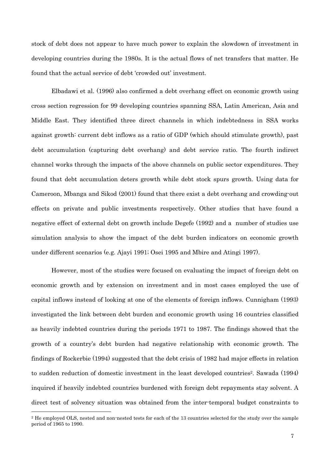stock of debt does not appear to have much power to explain the slowdown of investment in developing countries during the 1980s. It is the actual flows of net transfers that matter. He found that the actual service of debt 'crowded out' investment.

Elbadawi et al. (1996) also confirmed a debt overhang effect on economic growth using cross section regression for 99 developing countries spanning SSA, Latin American, Asia and Middle East. They identified three direct channels in which indebtedness in SSA works against growth: current debt inflows as a ratio of GDP (which should stimulate growth), past debt accumulation (capturing debt overhang) and debt service ratio. The fourth indirect channel works through the impacts of the above channels on public sector expenditures. They found that debt accumulation deters growth while debt stock spurs growth. Using data for Cameroon, Mbanga and Sikod (2001) found that there exist a debt overhang and crowding-out effects on private and public investments respectively. Other studies that have found a negative effect of external debt on growth include Degefe (1992) and a number of studies use simulation analysis to show the impact of the debt burden indicators on economic growth under different scenarios (e.g. Ajavi 1991; Osei 1995 and Mbire and Atingi 1997).

However, most of the studies were focused on evaluating the impact of foreign debt on economic growth and by extension on investment and in most cases employed the use of capital inflows instead of looking at one of the elements of foreign inflows. Cunnigham (1993) investigated the link between debt burden and economic growth using 16 countries classified as heavily indebted countries during the periods 1971 to 1987. The findings showed that the growth of a country's debt burden had negative relationship with economic growth. The findings of Rockerbie (1994) suggested that the debt crisis of 1982 had major effects in relation to sudden reduction of domestic investment in the least developed countries<sup>2</sup>. Sawada (1994) inquired if heavily indebted countries burdened with foreign debt repayments stay solvent. A direct test of solvency situation was obtained from the inter-temporal budget constraints to

<sup>&</sup>lt;sup>2</sup> He employed OLS, nested and non-nested tests for each of the 13 countries selected for the study over the sample period of 1965 to 1990.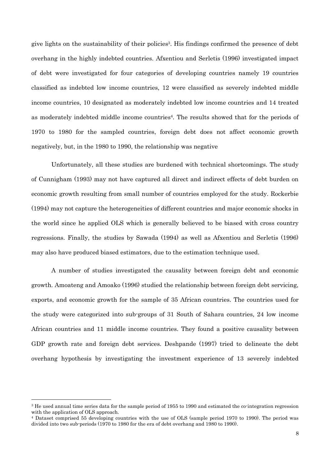give lights on the sustainability of their policies<sup>3</sup>. His findings confirmed the presence of debt overhang in the highly indebted countries. Afxentiou and Serletis (1996) investigated impact of debt were investigated for four categories of developing countries namely 19 countries classified as indebted low income countries, 12 were classified as severely indebted middle income countries, 10 designated as moderately indebted low income countries and 14 treated as moderately indebted middle income countries<sup>4</sup>. The results showed that for the periods of 1970 to 1980 for the sampled countries, foreign debt does not affect economic growth negatively, but, in the 1980 to 1990, the relationship was negative

Unfortunately, all these studies are burdened with technical shortcomings. The study of Cunnigham (1993) may not have captured all direct and indirect effects of debt burden on economic growth resulting from small number of countries employed for the study. Rockerbie (1994) may not capture the heterogeneities of different countries and major economic shocks in the world since he applied OLS which is generally believed to be biased with cross country regressions. Finally, the studies by Sawada (1994) as well as Afxentiou and Serletis (1996) may also have produced biased estimators, due to the estimation technique used.

A number of studies investigated the causality between foreign debt and economic growth. Amoateng and Amoako (1996) studied the relationship between foreign debt servicing, exports, and economic growth for the sample of 35 African countries. The countries used for the study were categorized into sub-groups of 31 South of Sahara countries, 24 low income African countries and 11 middle income countries. They found a positive causality between GDP growth rate and foreign debt services. Deshpande (1997) tried to delineate the debt overhang hypothesis by investigating the investment experience of 13 severely indebted

<sup>&</sup>lt;sup>3</sup> He used annual time series data for the sample period of 1955 to 1990 and estimated the co-integration regression with the application of OLS approach.

<sup>&</sup>lt;sup>4</sup> Dataset comprised 55 developing countries with the use of OLS (sample period 1970 to 1990). The period was divided into two sub-periods (1970 to 1980 for the era of debt overhang and 1980 to 1990).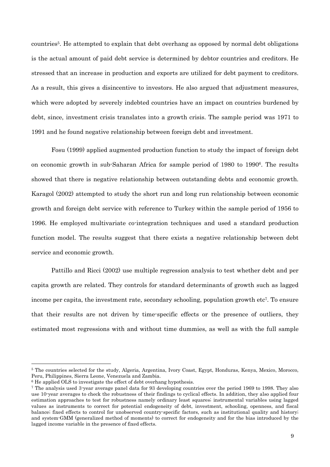countries<sup>5</sup>. He attempted to explain that debt overhang as opposed by normal debt obligations is the actual amount of paid debt service is determined by debtor countries and creditors. He stressed that an increase in production and exports are utilized for debt payment to creditors. As a result, this gives a disincentive to investors. He also argued that adjustment measures, which were adopted by severely indebted countries have an impact on countries burdened by debt, since, investment crisis translates into a growth crisis. The sample period was 1971 to 1991 and he found negative relationship between foreign debt and investment.

Fosu (1999) applied augmented production function to study the impact of foreign debt on economic growth in sub-Saharan Africa for sample period of 1980 to 1990<sup>6</sup>. The results showed that there is negative relationship between outstanding debts and economic growth. Karagol (2002) attempted to study the short run and long run relationship between economic growth and foreign debt service with reference to Turkey within the sample period of 1956 to 1996. He employed multivariate co-integration techniques and used a standard production function model. The results suggest that there exists a negative relationship between debt service and economic growth.

Pattillo and Ricci (2002) use multiple regression analysis to test whether debt and per capita growth are related. They controls for standard determinants of growth such as lagged income per capita, the investment rate, secondary schooling, population growth etc<sup>7</sup>. To ensure that their results are not driven by time-specific effects or the presence of outliers, they estimated most regressions with and without time dummies, as well as with the full sample

<sup>&</sup>lt;sup>5</sup> The countries selected for the study, Algeria, Argentina, Ivory Coast, Egypt, Honduras, Kenya, Mexico, Morocco, Peru, Philippines, Sierra Leone, Venezuela and Zambia.

<sup>&</sup>lt;sup>6</sup> He applied OLS to investigate the effect of debt overhang hypothesis.

<sup>&</sup>lt;sup>7</sup> The analysis used 3-year average panel data for 93 developing countries over the period 1969 to 1998. They also use 10-year averages to check the robustness of their findings to cyclical effects. In addition, they also applied four estimation approaches to test for robustness namely ordinary least squares, instrumental variables using lagged values as instruments to correct for potential endogeneity of debt, investment, schooling, openness, and fiscal balance; fixed effects to control for unobserved country-specific factors, such as institutional quality and history; and system GMM (generalized method of moments) to correct for endogeneity and for the bias introduced by the lagged income variable in the presence of fixed effects.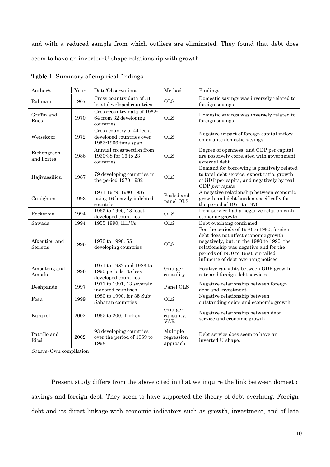and with a reduced sample from which outliers are eliminated. They found that debt does seem to have an inverted U shape relationship with growth.

| Author/s                        | Year                 | Data/Observations                                                            | Method                              | Findings                                                                                                                                                                                                                                           |
|---------------------------------|----------------------|------------------------------------------------------------------------------|-------------------------------------|----------------------------------------------------------------------------------------------------------------------------------------------------------------------------------------------------------------------------------------------------|
| Rahman                          | 1967                 | Cross-country data of 31<br>least developed countries                        | <b>OLS</b>                          | Domestic savings was inversely related to<br>foreign savings                                                                                                                                                                                       |
| Griffin and<br>Enos             | 1970                 | Cross-country data of 1962-<br>64 from 32 developing<br>countries            | <b>OLS</b>                          | Domestic savings was inversely related to<br>foreign savings                                                                                                                                                                                       |
| Weisskopf                       | 1972                 | Cross country of 44 least<br>developed countries over<br>1953-1966 time span | <b>OLS</b>                          | Negative impact of foreign capital inflow<br>on ex ante domestic savings                                                                                                                                                                           |
| Eichengreen<br>and Portes       | 1986                 | Annual cross-section from<br>1930-38 for 16 to 23<br>countries               | <b>OLS</b>                          | Degree of openness and GDP per capital<br>are positively correlated with government<br>external debt                                                                                                                                               |
| Hajivassiliou                   | 1987                 | 79 developing countries in<br>the period 1970-1982                           | <b>OLS</b>                          | Demand for borrowing is positively related<br>to total debt service, export ratio, growth<br>of GDP per capita, and negatively by real<br>GDP per capita                                                                                           |
| Cunigham                        | 1993                 | 1971-1979, 1980-1987<br>using 16 heavily indebted<br>countries               | Pooled and<br>panel OLS             | A negative relationship between economic<br>growth and debt burden specifically for<br>the period of 1971 to 1979                                                                                                                                  |
| Rockerbie                       | 1994                 | 1965 to 1990, 13 least<br>developed countries                                | <b>OLS</b>                          | Debt service had a negative relation with<br>economic growth                                                                                                                                                                                       |
| Sawada                          | 1994                 | 1955-1990, HIPCs                                                             | <b>OLS</b>                          | Debt overhang confirmed                                                                                                                                                                                                                            |
| Afxentiou and<br>Serletis       | 1996                 | 1970 to 1990, 55<br>developing countries                                     | <b>OLS</b>                          | For the periods of 1970 to 1980, foreign<br>debt does not affect economic growth<br>negatively, but, in the 1980 to 1990, the<br>relationship was negative and for the<br>periods of 1970 to 1990, curtailed<br>influence of debt overhang noticed |
| Amoateng and<br>Amorko          | 1996                 | 1971 to 1982 and 1983 to<br>1990 periods, 35 less<br>developed countries     | Granger<br>causality                | Positive causality between GDP growth<br>rate and foreign debt services                                                                                                                                                                            |
| Deshpande                       | 1997                 | 1971 to 1991, 13 severely<br>indebted countries                              | Panel OLS                           | Negative relationship between foreign<br>debt and investment                                                                                                                                                                                       |
| Fosu                            | 1999                 | 1980 to 1990, for 35 Sub-<br>Saharan countries                               | <b>OLS</b>                          | Negative relationship between<br>outstanding debts and economic growth                                                                                                                                                                             |
| Karakol                         | 2002                 | 1965 to 200, Turkey                                                          | Granger<br>causality,<br><b>VAR</b> | Negative relationship between debt<br>service and economic growth                                                                                                                                                                                  |
| Pattillo and<br>Ricci<br>$\sim$ | 2002<br>$\mathbf{r}$ | 93 developing countries<br>over the period of 1969 to<br>1998                | Multiple<br>regression<br>approach  | Debt service does seem to have an<br>inverted U-shape.                                                                                                                                                                                             |

Table 1. Summary of empirical findings

Source: Own compilation

Present study differs from the above cited in that we inquire the link between domestic savings and foreign debt. They seem to have supported the theory of debt overhang. Foreign debt and its direct linkage with economic indicators such as growth, investment, and of late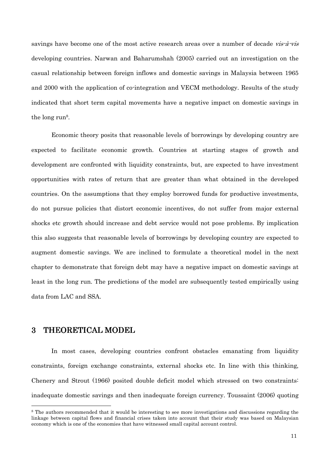savings have become one of the most active research areas over a number of decade vis-à-vis developing countries. Narwan and Baharumshah (2005) carried out an investigation on the casual relationship between foreign inflows and domestic savings in Malaysia between 1965 and 2000 with the application of co-integration and VECM methodology. Results of the study indicated that short term capital movements have a negative impact on domestic savings in the long run<sup>8</sup>.

Economic theory posits that reasonable levels of borrowings by developing country are expected to facilitate economic growth. Countries at starting stages of growth and development are confronted with liquidity constraints, but, are expected to have investment opportunities with rates of return that are greater than what obtained in the developed countries. On the assumptions that they employ borrowed funds for productive investments, do not pursue policies that distort economic incentives, do not suffer from major external shocks etc growth should increase and debt service would not pose problems. By implication this also suggests that reasonable levels of borrowings by developing country are expected to augment domestic savings. We are inclined to formulate a theoretical model in the next chapter to demonstrate that foreign debt may have a negative impact on domestic savings at least in the long run. The predictions of the model are subsequently tested empirically using data from LAC and SSA.

## $\overline{3}$ THEORETICAL MODEL

In most cases, developing countries confront obstacles emanating from liquidity constraints, foreign exchange constraints, external shocks etc. In line with this thinking, Chenery and Strout (1966) posited double deficit model which stressed on two constraints: inadequate domestic savings and then inadequate foreign currency. Toussaint (2006) quoting

<sup>&</sup>lt;sup>8</sup> The authors recommended that it would be interesting to see more investigations and discussions regarding the linkage between capital flows and financial crises taken into account that their study was based on Malaysian economy which is one of the economies that have witnessed small capital account control.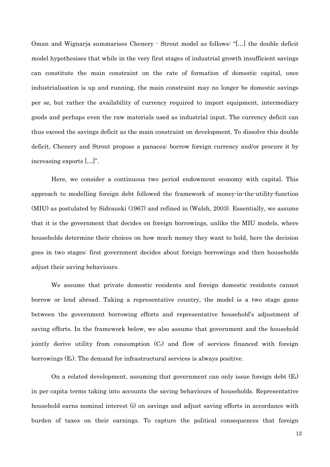Oman and Wignarja summarises Chenery · Strout model as follows: "[...] the double deficit model hypothesises that while in the very first stages of industrial growth insufficient savings can constitute the main constraint on the rate of formation of domestic capital, once industrialisation is up and running, the main constraint may no longer be domestic savings per se, but rather the availability of currency required to import equipment, intermediary goods and perhaps even the raw materials used as industrial input. The currency deficit can thus exceed the savings deficit as the main constraint on development. To dissolve this double deficit, Chenery and Strout propose a panacea: borrow foreign currency and/or procure it by increasing exports [...]".

Here, we consider a continuous two period endowment economy with capital. This approach to modelling foreign debt followed the framework of money-in-the-utility-function (MIU) as postulated by Sidrauski (1967) and refined in (Walsh, 2003). Essentially, we assume that it is the government that decides on foreign borrowings, unlike the MIU models, where households determine their choices on how much money they want to hold, here the decision goes in two stages: first government decides about foreign borrowings and then households adjust their saving behaviours.

We assume that private domestic residents and foreign domestic residents cannot borrow or lend abroad. Taking a representative country, the model is a two stage game between the government borrowing efforts and representative household's adjustment of saving efforts. In the framework below, we also assume that government and the household jointly derive utility from consumption  $(C_t)$  and flow of services financed with foreign borrowings  $(E_t)$ . The demand for infrastructural services is always positive.

On a related development, assuming that government can only issue foreign debt  $(E_t)$ in per capita terms taking into accounts the saving behaviours of households. Representative household earns nominal interest (i) on savings and adjust saving efforts in accordance with burden of taxes on their earnings. To capture the political consequences that foreign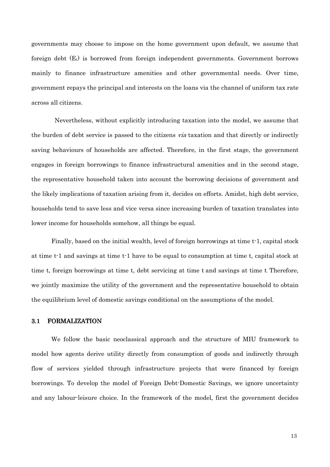governments may choose to impose on the home government upon default, we assume that foreign debt  $(E_t)$  is borrowed from foreign independent governments. Government borrows mainly to finance infrastructure amenities and other governmental needs. Over time, government repays the principal and interests on the loans via the channel of uniform tax rate across all citizens.

Nevertheless, without explicitly introducing taxation into the model, we assume that the burden of debt service is passed to the citizens *via* taxation and that directly or indirectly saving behaviours of households are affected. Therefore, in the first stage, the government engages in foreign borrowings to finance infrastructural amenities and in the second stage, the representative household taken into account the borrowing decisions of government and the likely implications of taxation arising from it, decides on efforts. Amidst, high debt service, households tend to save less and vice versa since increasing burden of taxation translates into lower income for households somehow, all things be equal.

Finally, based on the initial wealth, level of foreign borrowings at time t<sup>-1</sup>, capital stock at time t-1 and savings at time t-1 have to be equal to consumption at time t, capital stock at time t, foreign borrowings at time t, debt servicing at time t and savings at time t. Therefore, we jointly maximize the utility of the government and the representative household to obtain the equilibrium level of domestic savings conditional on the assumptions of the model.

#### **FORMALIZATION**  $3.1$

We follow the basic neoclassical approach and the structure of MIU framework to model how agents derive utility directly from consumption of goods and indirectly through flow of services yielded through infrastructure projects that were financed by foreign borrowings. To develop the model of Foreign Debt-Domestic Savings, we ignore uncertainty and any labour-leisure choice. In the framework of the model, first the government decides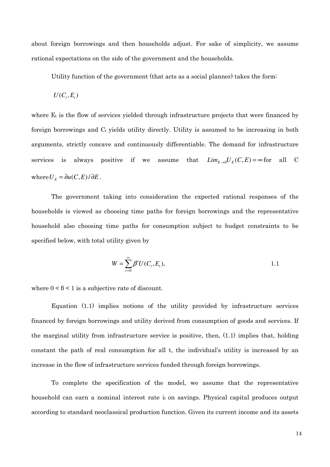about foreign borrowings and then households adjust. For sake of simplicity, we assume rational expectations on the side of the government and the households.

Utility function of the government (that acts as a social planner) takes the form-

$$
U(C_i, E_i)
$$

where E<sub>t</sub> is the flow of services yielded through infrastructure projects that were financed by foreign borrowings and C<sub>t</sub> yields utility directly. Utility is assumed to be increasing in both arguments, strictly concave and continuously differentiable. The demand for infrastructure that  $Lim_{F\rightarrow 0}U_F(C,E) = \infty$  for services is always positive if we assume all  $\mathcal{C}$ where  $U_E = \partial u(C, E)/\partial E$ .

The government taking into consideration the expected rational responses of the households is viewed as choosing time paths for foreign borrowings and the representative household also choosing time paths for consumption subject to budget constraints to be specified below, with total utility given by

$$
W = \sum_{t=0}^{\infty} \beta^t U(C_t, E_t), \qquad \qquad 1.1
$$

where  $0 < \beta < 1$  is a subjective rate of discount.

Equation (1.1) implies notions of the utility provided by infrastructure services financed by foreign borrowings and utility derived from consumption of goods and services. If the marginal utility from infrastructure service is positive, then,  $(1.1)$  implies that, holding constant the path of real consumption for all t, the individual's utility is increased by an increase in the flow of infrastructure services funded through foreign borrowings.

To complete the specification of the model, we assume that the representative household can earn a nominal interest rate it on savings. Physical capital produces output according to standard neoclassical production function. Given its current income and its assets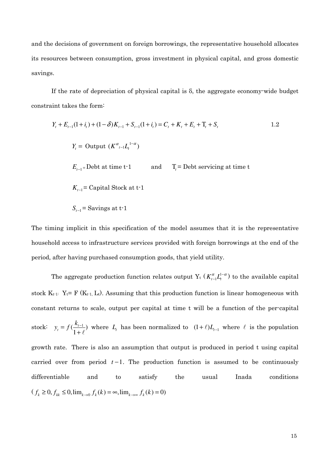and the decisions of government on foreign borrowings, the representative household allocates its resources between consumption, gross investment in physical capital, and gross domestic savings.

If the rate of depreciation of physical capital is  $\delta$ , the aggregate economy-wide budget constraint takes the form:

$$
Y_{t} + E_{t-1}(1 + i_{t}) + (1 - \delta)K_{t-1} + S_{t-1}(1 + i_{t}) = C_{t} + K_{t} + E_{t} + T_{t} + S_{t}
$$
\n
$$
Y_{t} = \text{Output } (K^{\alpha}_{t-1}L_{t}^{1-\alpha})
$$
\n
$$
E_{t-1} = \text{Debt at time t-1} \qquad \text{and} \qquad T_{t} = \text{Debt serving at time t}
$$
\n
$$
K_{t-1} = \text{Capital Stock at t-1}
$$
\n
$$
S_{t-1} = \text{Savings at t-1}
$$

The timing implicit in this specification of the model assumes that it is the representative household access to infrastructure services provided with foreign borrowings at the end of the period, after having purchased consumption goods, that yield utility.

The aggregate production function relates output  $Y_t$  ( $K_{t-1}^{\alpha}L_t^{1-\alpha}$ ) to the available capital stock  $K_{t-1}$ :  $Y_t = F(K_{t-1}, L_t)$ . Assuming that this production function is linear homogeneous with constant returns to scale, output per capital at time t will be a function of the per-capital stock:  $y_t = f(\frac{k_{t-1}}{1+\ell})$  where  $L_t$  has been normalized to  $(1+\ell)L_{t-1}$  where  $\ell$  is the population growth rate. There is also an assumption that output is produced in period t using capital carried over from period  $t-1$ . The production function is assumed to be continuously differentiable the Inada conditions and to satisfy usual  $(f_k \ge 0, f_{kk} \le 0, \lim_{k \to 0} f_k(k) = \infty, \lim_{k \to \infty} f_k(k) = 0)$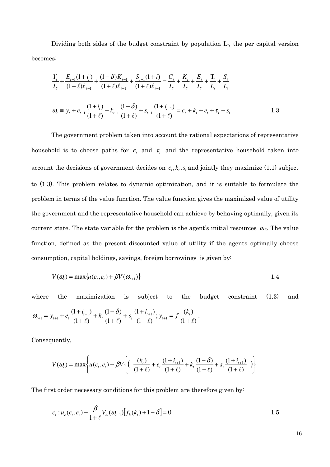Dividing both sides of the budget constraint by population  $L_t$ , the per capital version becomes:

$$
\frac{Y_{t}}{L_{t}} + \frac{E_{t-1}(1+i_{t})}{(1+\ell)\ell_{t-1}} + \frac{(1-\delta)K_{t-1}}{(1+\ell)\ell_{t-1}} + \frac{S_{t-1}(1+i)}{(1+\ell)\ell_{t-1}} = \frac{C_{t}}{L_{t}} + \frac{K_{t}}{L_{t}} + \frac{E_{t}}{L_{t}} + \frac{T_{t}}{L_{t}} + \frac{S_{t}}{L_{t}}
$$
\n
$$
\omega_{t} \equiv y_{t} + e_{t-1} \frac{(1+i_{t})}{(1+\ell)} + k_{t-1} \frac{(1-\delta)}{(1+\ell)} + s_{t-1} \frac{(1+i_{t-1})}{(1+\ell)} = c_{t} + k_{t} + e_{t} + \tau_{t} + s_{t}
$$
\n1.3

The government problem taken into account the rational expectations of representative household is to choose paths for  $e_t$  and  $\tau_t$  and the representative household taken into account the decisions of government decides on  $c_t$ ,  $k_t$ ,  $s_t$  and jointly they maximize (1.1) subject to (1.3). This problem relates to dynamic optimization, and it is suitable to formulate the problem in terms of the value function. The value function gives the maximized value of utility the government and the representative household can achieve by behaving optimally, given its current state. The state variable for the problem is the agent's initial resources  $\omega_{t}$ . The value function, defined as the present discounted value of utility if the agents optimally choose consumption, capital holdings, savings, foreign borrowings is given by:

$$
V(\omega_t) = \max \{ u(c_t, e_t) + \beta V(\omega_{t+1}) \}
$$

subject where maximization is  $\mathbf{t}$ budget constraint  $(1.3)$ the the and  $\omega_{t+1} = y_{t+1} + e_t \frac{(1+i_{t+1})}{(1+\ell)} + k_t \frac{(1-\delta)}{(1+\ell)} + s_t \frac{(1+i_{t+1})}{(1+\ell)}; y_{t+1} = f \frac{(k_t)}{(1+\ell)}.$ 

Consequently,

$$
V(\omega_t) = \max \left\{ u(c_t, e_t) + \beta V \left\{ \left( \frac{(k_t)}{(1+\ell)} + e_t \frac{(1+i_{t+1})}{(1+\ell)} + k_t \frac{(1-\delta)}{(1+\ell)} + s_t \frac{(1+i_{t+1})}{(1+\ell)} \right) \right\}
$$

The first order necessary conditions for this problem are therefore given by:

$$
c_{t}: u_{c}(c_{t}, e_{t}) - \frac{\beta}{1+\ell} V_{\omega}(\omega_{t+1}) [f_{k}(k_{t}) + 1 - \delta] = 0
$$
 1.5

16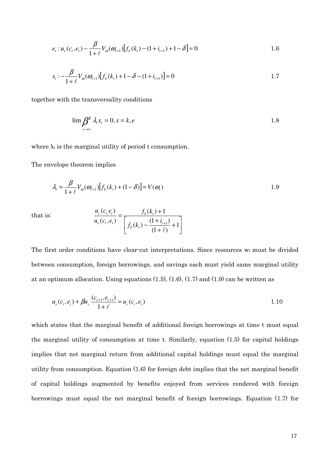$$
e_{t}: u_{e}(c_{t}, e_{t}) - \frac{\beta}{1+\ell} V_{\omega}(\omega_{t+1}) [f_{k}(k_{t}) - (1+i_{t+1}) + 1 - \delta] = 0
$$
 1.6

$$
s_{t} : -\frac{\beta}{1+\ell} V_{\omega}(\omega_{t+1}) [f_{k}(k_{t}) + 1 - \delta - (1+i_{t+1})] = 0
$$
 1.7

together with the transversality conditions

$$
\lim_{t \to \infty} \frac{\beta^t \lambda_t x_t = 0, x = k, e}{1.8}
$$

where  $\lambda_t$  is the marginal utility of period t consumption.

The envelope theorem implies

$$
\lambda_t = \frac{\beta}{1+\ell} V_{\omega}(\omega_{t+1}) \big[ f_k(k_t) + (1-\delta) \big] = V(\omega_t)
$$
\n(1.9)

that is:

$$
\frac{u_c(c_{t,\ell_t})}{u_e(c_{t},e_t)} = \frac{f_k(k_t) + 1}{\left[f_k(k_t) - \frac{(1+i_{t+1})}{(1+\ell)} + 1\right]}
$$

The first order conditions have clear-cut interpretations. Since resources  $w_t$  must be divided between consumption, foreign borrowings, and savings each must yield same marginal utility at an optimum allocation. Using equations  $(1.5)$ ,  $(1.6)$ ,  $(1.7)$  and  $(1.9)$  can be written as

$$
u_e(c_t, e_t) + \beta u_c \frac{(c_{t+1}, e_{t+1})}{1 + \ell} = u_c(c_t, e_t)
$$

which states that the marginal benefit of additional foreign borrowings at time t must equal the marginal utility of consumption at time t. Similarly, equation  $(1.5)$  for capital holdings implies that net marginal return from additional capital holdings must equal the marginal utility from consumption. Equation  $(1.6)$  for foreign debt implies that the net marginal benefit of capital holdings augmented by benefits enjoyed from services rendered with foreign borrowings must equal the net marginal benefit of foreign borrowings. Equation (1.7) for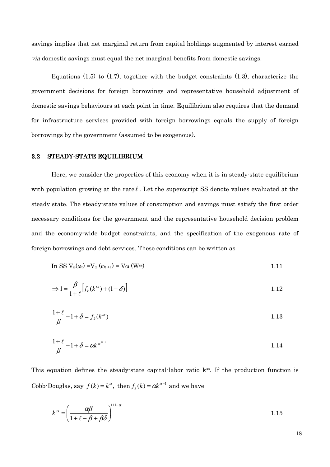savings implies that net marginal return from capital holdings augmented by interest earned *via* domestic savings must equal the net marginal benefits from domestic savings.

Equations  $(1.5)$  to  $(1.7)$ , together with the budget constraints  $(1.3)$ , characterize the government decisions for foreign borrowings and representative household adjustment of domestic savings behaviours at each point in time. Equilibrium also requires that the demand for infrastructure services provided with foreign borrowings equals the supply of foreign borrowings by the government (assumed to be exogenous).

#### STEADY-STATE EQUILIBRIUM 3.2

Here, we consider the properties of this economy when it is in steady-state equilibrium with population growing at the rate  $\ell$ . Let the superscript SS denote values evaluated at the steady state. The steady-state values of consumption and savings must satisfy the first order necessary conditions for the government and the representative household decision problem and the economy-wide budget constraints, and the specification of the exogenous rate of foreign borrowings and debt services. These conditions can be written as

$$
\text{In SS } V_{\omega}(\omega_t) = V_{\omega}(\omega_{t+1}) = V_{\omega}(\mathbf{W}^{\text{ss}}) \tag{1.11}
$$

$$
\Rightarrow 1 = \frac{\beta}{1+\ell} \left[ f_k(k^{ss}) + (1-\delta) \right] \tag{1.12}
$$

$$
\frac{1+\ell}{\beta} - 1 + \delta = f_k(k^{ss})
$$

$$
\frac{1+\ell}{\beta} - 1 + \delta = \alpha k^{ss^{\alpha-1}}
$$

This equation defines the steady-state capital-labor ratio k<sup>ss</sup>. If the production function is Cobb-Douglas, say  $f(k) = k^{\alpha}$ , then  $f_k(k) = \alpha k^{\alpha-1}$  and we have

$$
k^{ss} = \left(\frac{\alpha\beta}{1+\ell-\beta+\beta\delta}\right)^{1/1-\alpha} \tag{1.15}
$$

18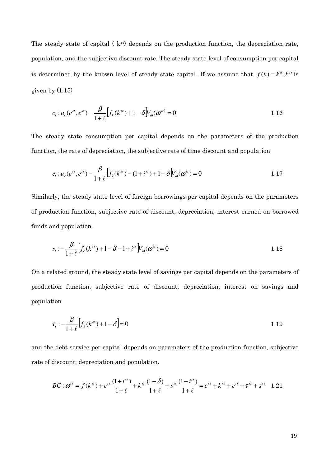The steady state of capital  $(k^{ss})$  depends on the production function, the depreciation rate, population, and the subjective discount rate. The steady state level of consumption per capital is determined by the known level of steady state capital. If we assume that  $f(k) = k^{\alpha}, k^{ss}$  is given by  $(1.15)$ 

$$
c_{t}: u_{c}(c^{ss}, e^{ss}) - \frac{\beta}{1+\ell} \Big[ f_{k}(k^{ss}) + 1 - \delta \Big] V_{\omega}(\boldsymbol{\omega}^{ss}) = 0
$$
 1.16

The steady state consumption per capital depends on the parameters of the production function, the rate of depreciation, the subjective rate of time discount and population

$$
e_t: u_e(c^{ss}, e^{ss}) - \frac{\beta}{1+\ell} \Big[ f_k(k^{ss}) - (1+i^{ss}) + 1 - \delta \Big] V_\omega(\omega^{ss}) = 0 \tag{1.17}
$$

Similarly, the steady state level of foreign borrowings per capital depends on the parameters of production function, subjective rate of discount, depreciation, interest earned on borrowed funds and population.

$$
s_{t} : -\frac{\beta}{1+\ell} \Big[ f_{k}(k^{ss}) + 1 - \delta - 1 + i^{ss} \Big] V_{\omega}(\boldsymbol{\omega}^{ss}) = 0
$$
 1.18

On a related ground, the steady state level of savings per capital depends on the parameters of production function, subjective rate of discount, depreciation, interest on savings and population

$$
\tau_{t} : -\frac{\beta}{1+\ell} \left[ f_{k}(k^{ss}) + 1 - \delta \right] = 0 \tag{1.19}
$$

and the debt service per capital depends on parameters of the production function, subjective rate of discount, depreciation and population.

$$
BC: \omega^{ss} = f(k^{ss}) + e^{ss} \frac{(1+i^{ss})}{1+\ell} + k^{ss} \frac{(1-\delta)}{1+\ell} + s^{ss} \frac{(1+i^{ss})}{1+\ell} = c^{ss} + k^{ss} + e^{ss} + \tau^{ss} + s^{ss} \quad 1.21
$$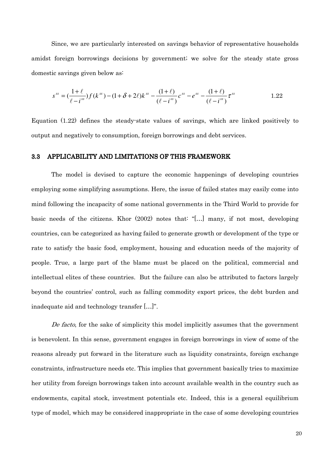Since, we are particularly interested on savings behavior of representative households amidst foreign borrowings decisions by government; we solve for the steady state gross domestic savings given below as:

$$
s^{ss} = \left(\frac{1+\ell}{\ell-i^{ss}}\right)f(k^{ss}) - (1+\delta+2\ell)k^{ss} - \frac{(1+\ell)}{(\ell-i^{ss})}c^{ss} - e^{ss} - \frac{(1+\ell)}{(\ell-i^{ss})}\tau^{ss}
$$

Equation  $(1.22)$  defines the steady-state values of savings, which are linked positively to output and negatively to consumption, foreign borrowings and debt services.

#### APPLICABILITY AND LIMITATIONS OF THIS FRAMEWORK  $3.3$

The model is devised to capture the economic happenings of developing countries employing some simplifying assumptions. Here, the issue of failed states may easily come into mind following the incapacity of some national governments in the Third World to provide for basic needs of the citizens. Khor (2002) notes that "[...] many, if not most, developing countries, can be categorized as having failed to generate growth or development of the type or rate to satisfy the basic food, employment, housing and education needs of the majority of people. True, a large part of the blame must be placed on the political, commercial and intellectual elites of these countries. But the failure can also be attributed to factors largely beyond the countries' control, such as falling commodity export prices, the debt burden and inadequate aid and technology transfer [...]".

De facto, for the sake of simplicity this model implicitly assumes that the government is benevolent. In this sense, government engages in foreign borrowings in view of some of the reasons already put forward in the literature such as liquidity constraints, foreign exchange constraints, infrastructure needs etc. This implies that government basically tries to maximize her utility from foreign borrowings taken into account available wealth in the country such as endowments, capital stock, investment potentials etc. Indeed, this is a general equilibrium type of model, which may be considered inappropriate in the case of some developing countries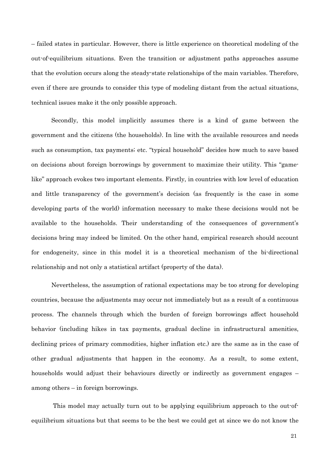- failed states in particular. However, there is little experience on theoretical modeling of the out-of-equilibrium situations. Even the transition or adjustment paths approaches assume that the evolution occurs along the steady-state relationships of the main variables. Therefore, even if there are grounds to consider this type of modeling distant from the actual situations, technical issues make it the only possible approach.

Secondly, this model implicitly assumes there is a kind of game between the government and the citizens (the households). In line with the available resources and needs such as consumption, tax payments; etc. "typical household" decides how much to save based on decisions about foreign borrowings by government to maximize their utility. This "gamelike" approach evokes two important elements. Firstly, in countries with low level of education and little transparency of the government's decision (as frequently is the case in some developing parts of the world) information necessary to make these decisions would not be available to the households. Their understanding of the consequences of government's decisions bring may indeed be limited. On the other hand, empirical research should account for endogeneity, since in this model it is a theoretical mechanism of the bi-directional relationship and not only a statistical artifact (property of the data).

Nevertheless, the assumption of rational expectations may be too strong for developing countries, because the adjustments may occur not immediately but as a result of a continuous process. The channels through which the burden of foreign borrowings affect household behavior (including hikes in tax payments, gradual decline in infrastructural amenities, declining prices of primary commodities, higher inflation etc.) are the same as in the case of other gradual adjustments that happen in the economy. As a result, to some extent, households would adjust their behaviours directly or indirectly as government engages – among others  $-$  in foreign borrowings.

This model may actually turn out to be applying equilibrium approach to the out-ofequilibrium situations but that seems to be the best we could get at since we do not know the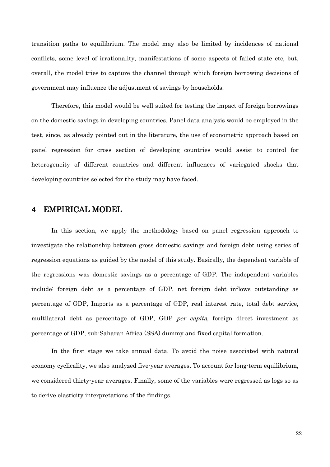transition paths to equilibrium. The model may also be limited by incidences of national conflicts, some level of irrationality, manifestations of some aspects of failed state etc, but, overall, the model tries to capture the channel through which foreign borrowing decisions of government may influence the adjustment of savings by households.

Therefore, this model would be well suited for testing the impact of foreign borrowings on the domestic savings in developing countries. Panel data analysis would be employed in the test, since, as already pointed out in the literature, the use of econometric approach based on panel regression for cross section of developing countries would assist to control for heterogeneity of different countries and different influences of variegated shocks that developing countries selected for the study may have faced.

# **EMPIRICAL MODEL**  $\overline{4}$

In this section, we apply the methodology based on panel regression approach to investigate the relationship between gross domestic savings and foreign debt using series of regression equations as guided by the model of this study. Basically, the dependent variable of the regressions was domestic savings as a percentage of GDP. The independent variables include: foreign debt as a percentage of GDP, net foreign debt inflows outstanding as percentage of GDP, Imports as a percentage of GDP, real interest rate, total debt service, multilateral debt as percentage of GDP, GDP *per capita*, foreign direct investment as percentage of GDP, sub-Saharan Africa (SSA) dummy and fixed capital formation.

In the first stage we take annual data. To avoid the noise associated with natural economy cyclicality, we also analyzed five-year averages. To account for long-term equilibrium, we considered thirty-year averages. Finally, some of the variables were regressed as logs so as to derive elasticity interpretations of the findings.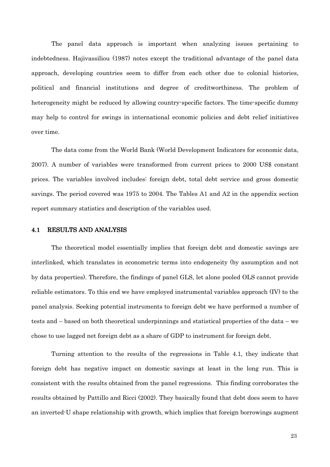The panel data approach is important when analyzing issues pertaining to indebtedness. Hajivassiliou (1987) notes except the traditional advantage of the panel data approach, developing countries seem to differ from each other due to colonial histories, political and financial institutions and degree of creditworthiness. The problem of heterogeneity might be reduced by allowing country-specific factors. The time-specific dummy may help to control for swings in international economic policies and debt relief initiatives over time.

The data come from the World Bank (World Development Indicators for economic data, 2007). A number of variables were transformed from current prices to 2000 US\$ constant prices. The variables involved includes: foreign debt, total debt service and gross domestic savings. The period covered was 1975 to 2004. The Tables A1 and A2 in the appendix section report summary statistics and description of the variables used.

#### **RESULTS AND ANALYSIS**  $4.1$

The theoretical model essentially implies that foreign debt and domestic savings are interlinked, which translates in econometric terms into endogeneity (by assumption and not by data properties). Therefore, the findings of panel GLS, let alone pooled OLS cannot provide reliable estimators. To this end we have employed instrumental variables approach (IV) to the panel analysis. Seeking potential instruments to foreign debt we have performed a number of tests and – based on both theoretical underpinnings and statistical properties of the data – we chose to use lagged net foreign debt as a share of GDP to instrument for foreign debt.

Turning attention to the results of the regressions in Table 4.1, they indicate that foreign debt has negative impact on domestic savings at least in the long run. This is consistent with the results obtained from the panel regressions. This finding corroborates the results obtained by Pattillo and Ricci (2002). They basically found that debt does seem to have an inverted U shape relationship with growth, which implies that foreign borrowings augment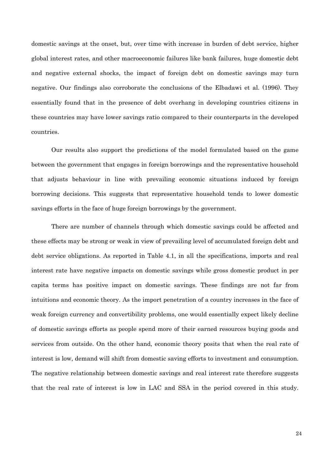domestic savings at the onset, but, over time with increase in burden of debt service, higher global interest rates, and other macroeconomic failures like bank failures, huge domestic debt and negative external shocks, the impact of foreign debt on domestic savings may turn negative. Our findings also corroborate the conclusions of the Elbadawi et al. (1996). They essentially found that in the presence of debt overhang in developing countries citizens in these countries may have lower savings ratio compared to their counterparts in the developed countries.

Our results also support the predictions of the model formulated based on the game between the government that engages in foreign borrowings and the representative household that adjusts behaviour in line with prevailing economic situations induced by foreign borrowing decisions. This suggests that representative household tends to lower domestic savings efforts in the face of huge foreign borrowings by the government.

There are number of channels through which domestic savings could be affected and these effects may be strong or weak in view of prevailing level of accumulated foreign debt and debt service obligations. As reported in Table 4.1, in all the specifications, imports and real interest rate have negative impacts on domestic savings while gross domestic product in per capita terms has positive impact on domestic savings. These findings are not far from intuitions and economic theory. As the import penetration of a country increases in the face of weak foreign currency and convertibility problems, one would essentially expect likely decline of domestic savings efforts as people spend more of their earned resources buying goods and services from outside. On the other hand, economic theory posits that when the real rate of interest is low, demand will shift from domestic saving efforts to investment and consumption. The negative relationship between domestic savings and real interest rate therefore suggests that the real rate of interest is low in LAC and SSA in the period covered in this study.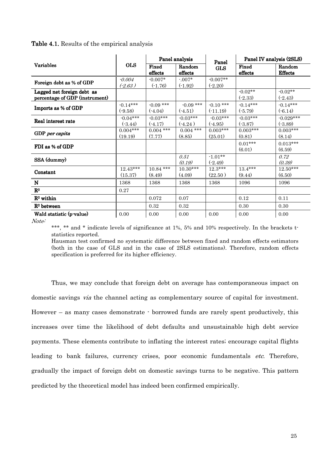|                                                              |                         | Panel analysis           |                           | Panel                    | Panel IV analysis (2SLS) |                          |
|--------------------------------------------------------------|-------------------------|--------------------------|---------------------------|--------------------------|--------------------------|--------------------------|
| <b>Variables</b>                                             | <b>OLS</b>              | Fixed<br>effects         | Random<br>${\rm effects}$ | <b>GLS</b>               | Fixed<br>effects         | Random<br><b>Effects</b> |
| Foreign debt as % of GDP                                     | $-0.004$<br>$(-2.63)$   | $-0.007*$<br>$(-1.76)$   | $-0.07*$<br>$(-1.92)$     | $-0.007**$<br>$(-2.20)$  |                          |                          |
| Lagged net foreign debt as<br>percentage of GDP (instrument) |                         |                          |                           |                          | $-0.02**$<br>$(-2.33)$   | $-0.02**$<br>$(-2.43)$   |
| Imports as % of GDP                                          | $-0.14***$<br>$(-9.58)$ | $-0.09$ ***<br>$(-4.04)$ | $-0.09$ ***<br>$(-4.51)$  | $-0.10***$<br>$(-11.19)$ | $-0.14***$<br>$(-5.79)$  | $-0.14***$<br>$(-6.14)$  |
| Real interest rate                                           | $-0.04***$<br>$(-3.44)$ | $-0.03***$<br>$(-4.17)$  | $-0.03***$<br>$(-4.24)$   | $-0.03***$<br>$(-4.95)$  | $-0.03***$<br>$(-3.87)$  | $-0.029***$<br>$(-3.89)$ |
| GDP per capita                                               | $0.004***$<br>(19.19)   | $0.004$ ***<br>(7.77)    | $0.004$ ***<br>(8.85)     | $0.003***$<br>(25.01)    | $0.003***$<br>(0.81)     | $0.003***$<br>(8.14)     |
| FDI as % of GDP                                              |                         |                          |                           |                          | $0.01***$<br>(6.01)      | $0.013***$<br>(6.59)     |
| SSA (dummy)                                                  |                         |                          | 0.51<br>(0.19)            | $-1.01**$<br>$(-2.49)$   |                          | 0.72<br>(0.39)           |
| Constant                                                     | $12.43***$<br>(15.37)   | $10.84$ ***<br>(8.49)    | $10.30***$<br>(4.09)      | $12.3***$<br>(22.50)     | $13.4***$<br>(9.44)      | $12.50***$<br>(6.50)     |
| N                                                            | 1368                    | 1368                     | 1368                      | 1368                     | 1096                     | 1096                     |
| $\mathbf{R}^2$                                               | 0.27                    |                          |                           |                          |                          |                          |
| $R^2$ within                                                 |                         | 0.072                    | 0.07                      |                          | 0.12                     | 0.11                     |
| $R2$ between                                                 |                         | 0.32                     | 0.32                      |                          | 0.30                     | 0.30                     |
| Wald statistic (p-value)                                     | 0.00                    | 0.00                     | 0.00                      | 0.00                     | 0.00                     | 0.00                     |

Table 4.1. Results of the empirical analysis

Note:

\*\*\*, \*\* and \* indicate levels of significance at 1%, 5% and 10% respectively. In the brackets tstatistics reported.

Hausman test confirmed no systematic difference between fixed and random effects estimators (both in the case of GLS and in the case of 2SLS estimations). Therefore, random effects specification is preferred for its higher efficiency.

Thus, we may conclude that foreign debt on average has contemporaneous impact on domestic savings *via* the channel acting as complementary source of capital for investment. However  $-$  as many cases demonstrate  $\cdot$  borrowed funds are rarely spent productively, this increases over time the likelihood of debt defaults and unsustainable high debt service payments. These elements contribute to inflating the interest rates; encourage capital flights leading to bank failures, currency crises, poor economic fundamentals etc. Therefore, gradually the impact of foreign debt on domestic savings turns to be negative. This pattern predicted by the theoretical model has indeed been confirmed empirically.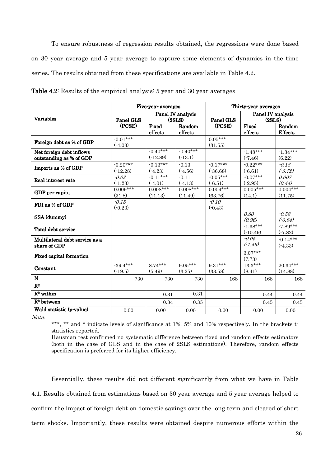To ensure robustness of regression results obtained, the regressions were done based on 30 year average and 5 year average to capture some elements of dynamics in the time series. The results obtained from these specifications are available in Table 4.2.

|                                | Five-year averages      |                             |                  | Thirty-year averages |                             |                      |  |
|--------------------------------|-------------------------|-----------------------------|------------------|----------------------|-----------------------------|----------------------|--|
| <b>Variables</b>               | Panel GLS               | Panel IV analysis<br>(2SLS) |                  | Panel GLS            | Panel IV analysis<br>(2SLS) |                      |  |
|                                | (PCSE)                  | Fixed                       | Random           | (PCSE)               | Fixed                       | Random               |  |
|                                |                         | effects                     | $_{\rm effects}$ |                      | effects                     | <b>Effects</b>       |  |
| Foreign debt as % of GDP       | $-0.01***$<br>$(-4.03)$ |                             |                  | $0.05***$<br>(31.55) |                             |                      |  |
| Net foreign debt inflows       |                         | $-0.40***$                  | $-0.40***$       |                      | $-1.48***$                  | $-1.34***$           |  |
| outstanding as % of GDP        |                         | $(-12.89)$                  | $(-13.1)$        |                      | $(-7.46)$                   | (6.22)               |  |
|                                | $-0.20***$              | $-0.13***$                  | $-0.13$          | $-0.17***$           | $-0.22***$                  | $-0.18$              |  |
| Imports as % of GDP            | $(-12.28)$              | $(-4.23)$                   | $(-4.56)$        | (.36.68)             | $(-6.61)$                   | $(-5.72)$            |  |
| Real interest rate             | $-0.02$                 | $-0.11***$                  | $-0.11$          | $-0.05***$           | $-0.07***$                  | 0.007                |  |
|                                | $(-1.23)$               | $(-4.01)$                   | $(-4.13)$        | $(-6.51)$            | $(-2.95)$                   | (0.44)               |  |
| GDP per capita                 | $0.009***$              | $0.008***$                  | $0.008***$       | $0.004***$           | $0.005***$                  | $0.004***$           |  |
|                                | (31.8)                  | (11.13)                     | (11.49)          | (63.76)              | (14.1)                      | (11.75)              |  |
| FDI as % of GDP                | $-0.15$                 |                             |                  | $-0.10$              |                             |                      |  |
|                                | $(-0.23)$               |                             |                  | $(-0.43)$            |                             |                      |  |
| SSA (dummy)                    |                         |                             |                  |                      | 0.80<br>(0.96)              | $-0.58$<br>$(-0.84)$ |  |
|                                |                         |                             |                  |                      | $-1.38***$                  | $-7.89***$           |  |
| Total debt service             |                         |                             |                  |                      | $(-10.49)$                  | $(-7.82)$            |  |
| Multilateral debt service as a |                         |                             |                  |                      | $-0.05$                     | $-0.14***$           |  |
| share of GDP                   |                         |                             |                  |                      | $(-1.49)$                   | $(-4.33)$            |  |
|                                |                         |                             |                  |                      | $3.07***$                   |                      |  |
| <b>Fixed capital formation</b> |                         |                             |                  |                      | (7.73)                      |                      |  |
| Constant                       | $-39.4***$              | $8.74***$                   | $9.05***$        | $9.31***$            | $13.3***$                   | $20.34***$           |  |
|                                | $(-19.5)$               | (5.49)                      | (3.25)           | (33.58)              | (8.41)                      | (14.88)              |  |
| N                              | 730                     | 730                         | 730              | 168                  | 168                         | 168                  |  |
| $\mathbf{R}^2$                 |                         |                             |                  |                      |                             |                      |  |
| $R^2$ within                   |                         | 0.31                        | 0.31             |                      | 0.44                        | 0.44                 |  |
| $R2$ between                   |                         | 0.34                        | 0.35             |                      | 0.45                        | 0.45                 |  |
| Wald statistic (p-value)       | 0.00                    | 0.00                        | 0.00             | 0.00                 | 0.00                        | 0.00                 |  |

**Table 4.2:** Results of the empirical analysis: 5 year and 30 year averages

Note:

\*\*\*, \*\* and \* indicate levels of significance at 1%, 5% and 10% respectively. In the brackets tstatistics reported.

Hausman test confirmed no systematic difference between fixed and random effects estimators (both in the case of GLS and in the case of 2SLS estimations). Therefore, random effects specification is preferred for its higher efficiency.

Essentially, these results did not different significantly from what we have in Table 4.1. Results obtained from estimations based on 30 year average and 5 year average helped to confirm the impact of foreign debt on domestic savings over the long term and cleared of short term shocks. Importantly, these results were obtained despite numerous efforts within the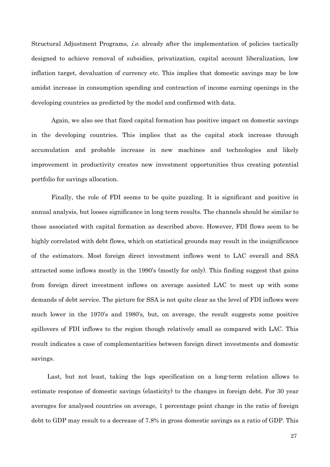Structural Adjustment Programs, *i.e.* already after the implementation of policies tactically designed to achieve removal of subsidies, privatization, capital account liberalization, low inflation target, devaluation of currency etc. This implies that domestic savings may be low amidst increase in consumption spending and contraction of income earning openings in the developing countries as predicted by the model and confirmed with data.

Again, we also see that fixed capital formation has positive impact on domestic savings in the developing countries. This implies that as the capital stock increase through accumulation and probable increase in new machines and technologies and likely improvement in productivity creates new investment opportunities thus creating potential portfolio for savings allocation.

Finally, the role of FDI seems to be quite puzzling. It is significant and positive in annual analysis, but looses significance in long term results. The channels should be similar to those associated with capital formation as described above. However, FDI flows seem to be highly correlated with debt flows, which on statistical grounds may result in the insignificance of the estimators. Most foreign direct investment inflows went to LAC overall and SSA attracted some inflows mostly in the 1990's (mostly for only). This finding suggest that gains from foreign direct investment inflows on average assisted LAC to meet up with some demands of debt service. The picture for SSA is not quite clear as the level of FDI inflows were much lower in the 1970's and 1980's, but, on average, the result suggests some positive spillovers of FDI inflows to the region though relatively small as compared with LAC. This result indicates a case of complementarities between foreign direct investments and domestic savings.

Last, but not least, taking the logs specification on a long-term relation allows to estimate response of domestic savings (elasticity) to the changes in foreign debt. For 30 year averages for analysed countries on average, 1 percentage point change in the ratio of foreign debt to GDP may result to a decrease of 7.8% in gross domestic savings as a ratio of GDP. This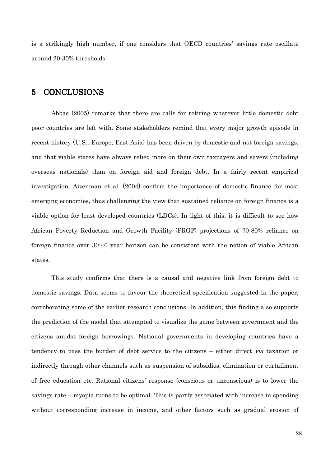is a strikingly high number, if one considers that OECD countries' savings rate oscillate around 20-30% thresholds.

## **CONCLUSIONS**  $\overline{5}$

Abbas (2005) remarks that there are calls for retiring whatever little domestic debt poor countries are left with. Some stakeholders remind that every major growth episode in recent history (U.S., Europe, East Asia) has been driven by domestic and not foreign savings, and that viable states have always relied more on their own taxpayers and savers (including overseas nationals) than on foreign aid and foreign debt. In a fairly recent empirical investigation, Aizenman et al. (2004) confirm the importance of domestic finance for most emerging economies, thus challenging the view that sustained reliance on foreign finance is a viable option for least developed countries (LDCs). In light of this, it is difficult to see how African Poverty Reduction and Growth Facility (PRGF) projections of 70.80% reliance on foreign finance over 30-40 year horizon can be consistent with the notion of viable African states.

This study confirms that there is a causal and negative link from foreign debt to domestic savings. Data seems to favour the theoretical specification suggested in the paper, corroborating some of the earlier research conclusions. In addition, this finding also supports the prediction of the model that attempted to visualize the game between government and the citizens amidst foreign borrowings. National governments in developing countries have a tendency to pass the burden of debt service to the citizens – either direct via taxation or indirectly through other channels such as suspension of subsidies, elimination or curtailment of free education etc. Rational citizens' response (conscious or unconscious) is to lower the savings rate – myopia turns to be optimal. This is partly associated with increase in spending without corresponding increase in income, and other factors such as gradual erosion of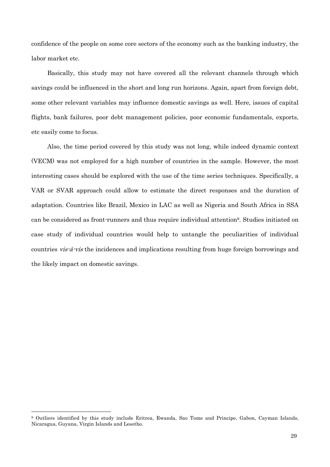confidence of the people on some core sectors of the economy such as the banking industry, the labor market etc.

Basically, this study may not have covered all the relevant channels through which savings could be influenced in the short and long run horizons. Again, apart from foreign debt, some other relevant variables may influence domestic savings as well. Here, issues of capital flights, bank failures, poor debt management policies, poor economic fundamentals, exports, etc easily come to focus.

Also, the time period covered by this study was not long, while indeed dynamic context (VECM) was not employed for a high number of countries in the sample. However, the most interesting cases should be explored with the use of the time series techniques. Specifically, a VAR or SVAR approach could allow to estimate the direct responses and the duration of adaptation. Countries like Brazil, Mexico in LAC as well as Nigeria and South Africa in SSA can be considered as front runners and thus require individual attention<sup>9</sup>. Studies initiated on case study of individual countries would help to untangle the peculiarities of individual countries vis-à-vis the incidences and implications resulting from huge foreign borrowings and the likely impact on domestic savings.

<sup>&</sup>lt;sup>9</sup> Outliers identified by this study include Eritrea, Rwanda, Sao Tome and Principe, Gabon, Cayman Islands, Nicaragua, Guyana, Virgin Islands and Lesotho.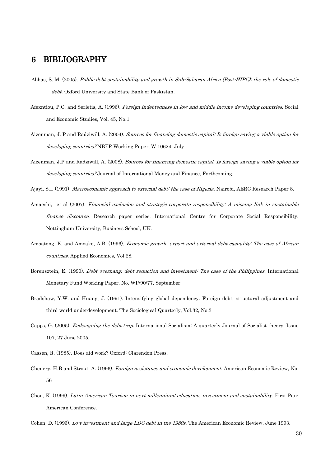## **BIBLIOGRAPHY** 6

- Abbas, S. M. (2005). Public debt sustainability and growth in Sub-Saharan Africa (Post-HIPC): the role of domestic debt. Oxford University and State Bank of Paskistan.
- Afexntiou, P.C. and Serletis, A. (1996). Foreign indebtedness in low and middle income developing countries. Social and Economic Studies, Vol. 45, No.1.
- Aizenman, J. P and Radziwill, A. (2004). Sources for financing domestic capital: Is foreign saving a viable option for *developing countries?* NBER Working Paper, W 10624, July
- Aizenman, J.P and Radziwill, A. (2008). Sources for financing domestic capital. Is foreign saving a viable option for *developing countries?* Journal of International Money and Finance, Forthcoming.
- Ajayi, S.I. (1991). Macroeconomic approach to external debt: the case of Nigeria. Nairobi, AERC Research Paper 8.
- Amaeshi, et al (2007). Financial exclusion and strategic corporate responsibility: A missing link in sustainable finance discourse. Research paper series. International Centre for Corporate Social Responsibility. Nottingham University, Business School, UK.
- Amoateng, K. and Amoako, A.B. (1996). *Economic growth, export and external debt casuality: The case of African* countries. Applied Economics, Vol.28.
- Borensztein, E. (1990). *Debt overhang, debt reduction and investment: The case of the Philippines*. International Monetary Fund Working Paper, No. WP/90/77, September.
- Bradshaw, Y.W. and Huang, J. (1991). Intensifying global dependency. Foreign debt, structural adjustment and third world underdevelopment. The Sociological Quarterly, Vol.32, No.3
- Capps, G. (2005). Redesigning the debt trap. International Socialism: A quarterly Journal of Socialist theory: Issue 107, 27 June 2005.
- Cassen, R. (1985). Does aid work? Oxford: Clarendon Press.
- Chenery, H.B and Strout, A. (1996). *Foreign assistance and economic development*. American Economic Review, No. 56
- Chou, K. (1999). Latin American Tourism in next millennium: education, investment and sustainability. First Pan-American Conference.
- Cohen, D. (1993). Low investment and large LDC debt in the 1980s. The American Economic Review, June 1993.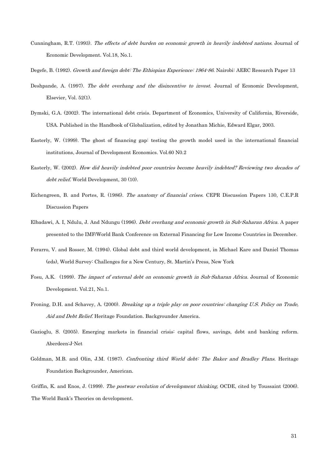- Cunningham, R.T. (1993). The effects of debt burden on economic growth in heavily indebted nations. Journal of Economic Development. Vol.18, No.1.
- Degefe, B. (1992). Growth and foreign debt. The Ethiopian Experience: 1964-86. Nairobi: AERC Research Paper 13
- Deshpande, A. (1997). The debt overhang and the disincentive to invest. Journal of Economic Development. Elsevier, Vol.  $52(1)$ .
- Dymski, G.A. (2002). The international debt crisis. Department of Economics, University of California, Riverside, USA. Published in the Handbook of Globalization, edited by Jonathan Michie, Edward Elgar, 2003.
- Easterly, W. (1999). The ghost of financing gap: testing the growth model used in the international financial institutions, Journal of Development Economics. Vol.60 N0.2
- Easterly, W. (2002). How did heavily indebted poor countries become heavily indebted? Reviewing two decades of debt relief. World Development, 30 (10).
- Eichengreen, B. and Portes, R. (1986). The anatomy of financial crises. CEPR Discussion Papers 130, C.E.P.R. **Discussion Papers**
- Elbadawi, A. I. Ndulu, J. And Ndungu (1996). *Debt overhang and economic growth in Sub-Saharan Africa.* A paper presented to the IMF/World Bank Conference on External Financing for Low Income Countries in December.
- Ferarro, V. and Rosser, M. (1994). Global debt and third world development, in Michael Kare and Daniel Thomas (eds), World Survey: Challenges for a New Century, St. Martin's Press, New York
- Fosu, A.K. (1999). The impact of external debt on economic growth in Sub-Saharan Africa. Journal of Economic Development, Vol.21, No.1.
- Froning, D.H. and Schavey, A. (2000). Breaking up a triple play on poor countries: changing U.S. Policy on Trade, Aid and Debt Relief. Heritage Foundation. Backgrounder America.
- Gazioglu, S. (2005). Emerging markets in financial crisis: capital flows, savings, debt and banking reform. Aberdeen: J-Net
- Goldman, M.B. and Olin, J.M. (1987). Confronting third World debt: The Baker and Bradley Plans. Heritage Foundation Backgrounder, American.

Griffin, K. and Enos. J. (1999). The postwar evolution of development thinking. OCDE, cited by Toussaint (2006). The World Bank's Theories on development.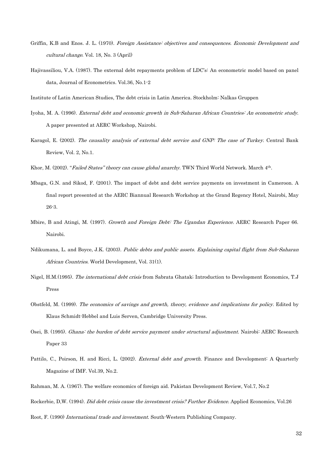- Griffin, K.B and Enos. J. L. (1970). Foreign Assistance: objectives and consequences. Economic Development and cultural change. Vol. 18, No. 3 (April)
- Hajivassiliou, V.A. (1987). The external debt repayments problem of LDC's: An econometric model based on panel data, Journal of Econometrics. Vol.36, No.1-2

Institute of Latin American Studies, The debt crisis in Latin America. Stockholm: Nalkas Gruppen

- Iyoha, M. A. (1996). External debt and economic growth in Sub-Saharan African Countries: An econometric study. A paper presented at AERC Workshop, Nairobi.
- Karagol, E. (2002). The causality analysis of external debt service and GNP: The case of Turkey. Central Bank Review, Vol. 2, No.1.
- Khor, M. (2002). "Failed States" theory can cause global anarchy. TWN Third World Network. March 4<sup>th</sup>.
- Mbaga, G.N. and Sikod, F. (2001). The impact of debt and debt service payments on investment in Cameroon. A final report presented at the AERC Biannual Research Workshop at the Grand Regency Hotel, Nairobi, May  $26 - 3.$
- Mbire, B and Atingi, M. (1997). Growth and Foreign Debt: The Ugandan Experience. AERC Research Paper 66. Nairobi.
- Ndikumana, L. and Boyce, J.K. (2003). Public debts and public assets. Explaining capital flight from Sub-Saharan African Countries. World Development, Vol. 31(1).
- Nigel, H.M.(1995). The international debt crisis from Sabrata Ghatak; Introduction to Development Economics, T.J Press
- Obstfeld, M. (1999). The economics of savings and growth, theory, evidence and implications for policy. Edited by Klaus Schmidt-Hebbel and Luis Serven, Cambridge University Press.
- Osei, B. (1995). Ghana: the burden of debt service payment under structural adjustment. Nairobi: AERC Research Paper 33
- Pattilo, C., Poirson, H. and Ricci, L. (2002). *External debt and growth*. Finance and Development: A Quarterly Magazine of IMF. Vol.39, No.2.
- Rahman, M. A. (1967). The welfare economics of foreign aid. Pakistan Development Review, Vol.7, No.2

Rockerbie, D.W. (1994). *Did debt crisis cause the investment crisis? Further Evidence.* Applied Economics, Vol.26

Root, F. (1990) International trade and investment. South-Western Publishing Company.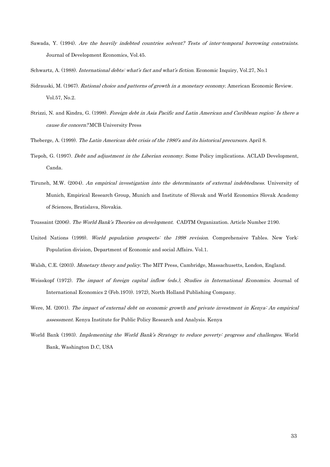- Sawada, Y. (1994). Are the heavily indebted countries solvent? Tests of inter-temporal borrowing constraints. Journal of Development Economics, Vol.45.
- Schwartz, A. (1988). International debts: what's fact and what's fiction. Economic Inquiry, Vol.27, No.1
- Sidrauski, M. (1967). Rational choice and patterns of growth in a monetary economy. American Economic Review. Vol.57, No.2.
- Strizzi, N. and Kindra, G. (1998). Foreign debt in Asia Pacific and Latin American and Caribbean region: Is there a cause for concern?MCB University Press
- Theberge, A. (1999). The Latin American debt crisis of the 1980's and its historical precursors. April 8.
- Tiepoh, G. (1997). *Debt and adjustment in the Liberian economy*. Some Policy implications. ACLAD Development. Canda.
- Tiruneh, M.W. (2004). An empirical investigation into the determinants of external indebtedness. University of Munich, Empirical Research Group, Munich and Institute of Slovak and World Economics Slovak Academy of Sciences, Bratislava, Slovakia.
- Toussaint (2006). The World Bank's Theories on development. CADTM Organization. Article Number 2190.
- United Nations (1999). World population prospects: the 1998 revision. Comprehensive Tables. New York: Population division, Department of Economic and social Affairs. Vol.1.
- Walsh, C.E. (2003). Monetary theory and policy. The MIT Press, Cambridge, Massachusetts, London, England.
- Weisskopf (1972). The impact of foreign capital inflow (eds.). Studies in International Economics. Journal of International Economics 2 (Feb.1970). 1972), North Holland Publishing Company.
- Were, M. (2001). The impact of external debt on economic growth and private investment in Kenya: An empirical assessment. Kenya Institute for Public Policy Research and Analysis. Kenya
- World Bank (1993). Implementing the World Bank's Strategy to reduce poverty: progress and challenges. World Bank, Washington D.C, USA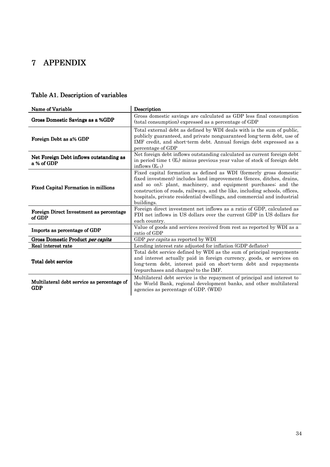# 7 APPENDIX

# Table A1. Description of variables

| Name of Variable                                         | Description                                                                                                                                                                                                                                                                                                                                                                           |  |  |  |
|----------------------------------------------------------|---------------------------------------------------------------------------------------------------------------------------------------------------------------------------------------------------------------------------------------------------------------------------------------------------------------------------------------------------------------------------------------|--|--|--|
| Gross Domestic Savings as a %GDP                         | Gross domestic savings are calculated as GDP less final consumption<br>(total consumption) expressed as a percentage of GDP                                                                                                                                                                                                                                                           |  |  |  |
| Foreign Debt as a% GDP                                   | Total external debt as defined by WDI deals with is the sum of public,<br>publicly guaranteed, and private nonguaranteed long-term debt, use of<br>IMF credit, and short-term debt. Annual foreign debt expressed as a<br>percentage of GDP                                                                                                                                           |  |  |  |
| Net Foreign Debt inflows outstanding as<br>a % of GDP    | Net foreign debt inflows outstanding calculated as current foreign debt<br>in period time $t(E_t)$ minus previous year value of stock of foreign debt<br>inflows $(E_{t-1})$                                                                                                                                                                                                          |  |  |  |
| <b>Fixed Capital Formation in millions</b>               | Fixed capital formation as defined as WDI (formerly gross domestic<br>fixed investment) includes land improvements (fences, ditches, drains,<br>and so on); plant, machinery, and equipment purchases; and the<br>construction of roads, railways, and the like, including schools, offices,<br>hospitals, private residential dwellings, and commercial and industrial<br>buildings. |  |  |  |
| Foreign Direct Investment as percentage<br>of GDP        | Foreign direct investment net inflows as a ratio of GDP, calculated as<br>FDI net inflows in US dollars over the current GDP in US dollars for<br>each country.                                                                                                                                                                                                                       |  |  |  |
| Imports as percentage of GDP                             | Value of goods and services received from rest as reported by WDI as a<br>ratio of GDP                                                                                                                                                                                                                                                                                                |  |  |  |
| Gross Domestic Product per capita                        | GDP <i>per capita</i> as reported by WDI                                                                                                                                                                                                                                                                                                                                              |  |  |  |
| Real interest rate                                       | Lending interest rate adjusted for inflation (GDP deflator)                                                                                                                                                                                                                                                                                                                           |  |  |  |
| Total debt service                                       | Total debt service defined by WDI as the sum of principal repayments<br>and interest actually paid in foreign currency, goods, or services on<br>long-term debt, interest paid on short-term debt and repayments<br>(repurchases and charges) to the IMF.                                                                                                                             |  |  |  |
| Multilateral debt service as percentage of<br><b>GDP</b> | Multilateral debt service is the repayment of principal and interest to<br>the World Bank, regional development banks, and other multilateral<br>agencies as percentage of GDP. (WDI)                                                                                                                                                                                                 |  |  |  |